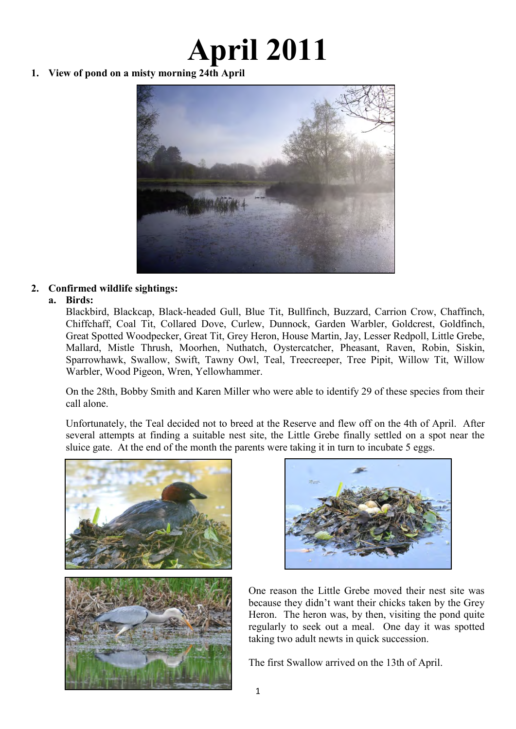# **April 2011**

**1. View of pond on a misty morning 24th April** 



# **2. Confirmed wildlife sightings:**

# **a. Birds:**

Blackbird, Blackcap, Black-headed Gull, Blue Tit, Bullfinch, Buzzard, Carrion Crow, Chaffinch, Chiffchaff, Coal Tit, Collared Dove, Curlew, Dunnock, Garden Warbler, Goldcrest, Goldfinch, Great Spotted Woodpecker, Great Tit, Grey Heron, House Martin, Jay, Lesser Redpoll, Little Grebe, Mallard, Mistle Thrush, Moorhen, Nuthatch, Oystercatcher, Pheasant, Raven, Robin, Siskin, Sparrowhawk, Swallow, Swift, Tawny Owl, Teal, Treecreeper, Tree Pipit, Willow Tit, Willow Warbler, Wood Pigeon, Wren, Yellowhammer.

On the 28th, Bobby Smith and Karen Miller who were able to identify 29 of these species from their call alone.

Unfortunately, the Teal decided not to breed at the Reserve and flew off on the 4th of April. After several attempts at finding a suitable nest site, the Little Grebe finally settled on a spot near the sluice gate. At the end of the month the parents were taking it in turn to incubate 5 eggs.





One reason the Little Grebe moved their nest site was because they didn't want their chicks taken by the Grey Heron. The heron was, by then, visiting the pond quite regularly to seek out a meal. One day it was spotted taking two adult newts in quick succession.

The first Swallow arrived on the 13th of April.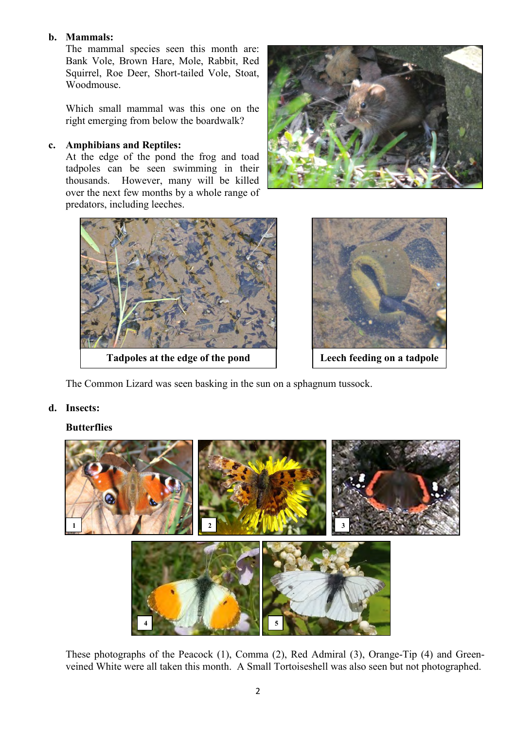### **b. Mammals:**

The mammal species seen this month are: Bank Vole, Brown Hare, Mole, Rabbit, Red Squirrel, Roe Deer, Short-tailed Vole, Stoat, Woodmouse.

Which small mammal was this one on the right emerging from below the boardwalk?

#### **c. Amphibians and Reptiles:**

At the edge of the pond the frog and toad tadpoles can be seen swimming in their thousands. However, many will be killed over the next few months by a whole range of predators, including leeches.





**Tadpoles at the edge of the pond Leech feeding on a tadpole**



The Common Lizard was seen basking in the sun on a sphagnum tussock.

#### **d. Insects:**

#### **Butterflies**



These photographs of the Peacock (1), Comma (2), Red Admiral (3), Orange-Tip (4) and Greenveined White were all taken this month. A Small Tortoiseshell was also seen but not photographed.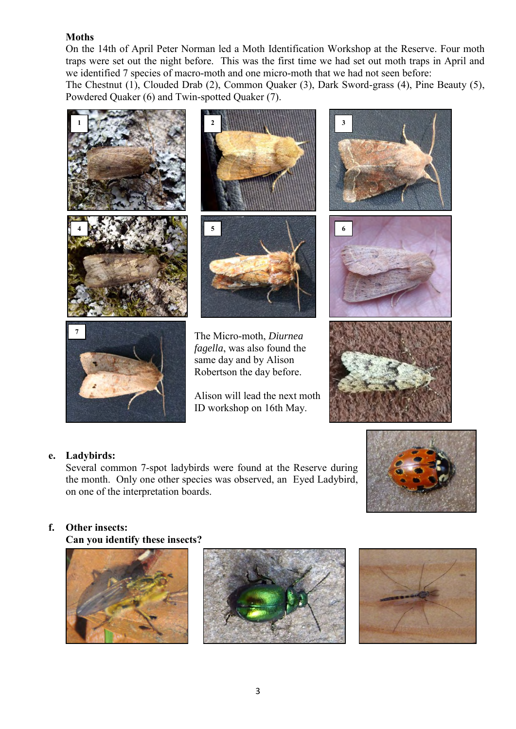# **Moths**

On the 14th of April Peter Norman led a Moth Identification Workshop at the Reserve. Four moth traps were set out the night before. This was the first time we had set out moth traps in April and we identified 7 species of macro-moth and one micro-moth that we had not seen before: The Chestnut (1), Clouded Drab (2), Common Quaker (3), Dark Sword-grass (4), Pine Beauty (5), Powdered Quaker (6) and Twin-spotted Quaker (7).



# **e. Ladybirds:**

Several common 7-spot ladybirds were found at the Reserve during the month. Only one other species was observed, an Eyed Ladybird, on one of the interpretation boards.



# **f. Other insects:**

 **Can you identify these insects?** 





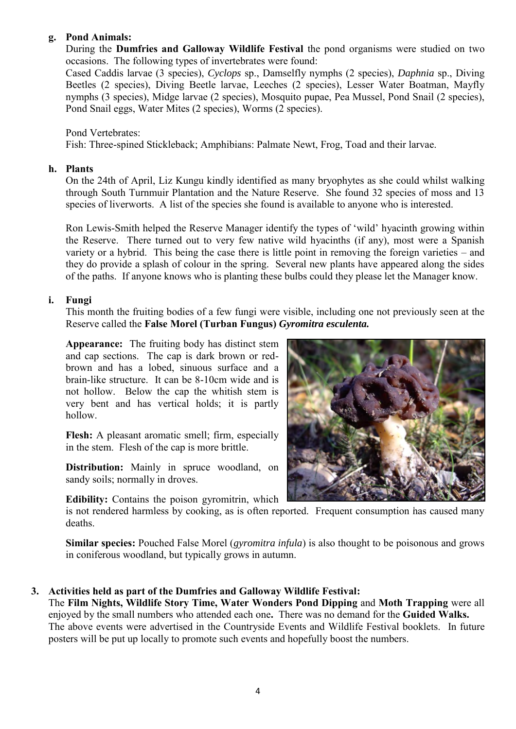# **g. Pond Animals:**

During the **Dumfries and Galloway Wildlife Festival** the pond organisms were studied on two occasions. The following types of invertebrates were found:

Cased Caddis larvae (3 species), *Cyclops* sp., Damselfly nymphs (2 species), *Daphnia* sp., Diving Beetles (2 species), Diving Beetle larvae, Leeches (2 species), Lesser Water Boatman, Mayfly nymphs (3 species), Midge larvae (2 species), Mosquito pupae, Pea Mussel, Pond Snail (2 species), Pond Snail eggs, Water Mites (2 species), Worms (2 species).

Pond Vertebrates: Fish: Three-spined Stickleback; Amphibians: Palmate Newt, Frog, Toad and their larvae.

#### **h. Plants**

On the 24th of April, Liz Kungu kindly identified as many bryophytes as she could whilst walking through South Turnmuir Plantation and the Nature Reserve. She found 32 species of moss and 13 species of liverworts. A list of the species she found is available to anyone who is interested.

Ron Lewis-Smith helped the Reserve Manager identify the types of 'wild' hyacinth growing within the Reserve. There turned out to very few native wild hyacinths (if any), most were a Spanish variety or a hybrid. This being the case there is little point in removing the foreign varieties – and they do provide a splash of colour in the spring. Several new plants have appeared along the sides of the paths. If anyone knows who is planting these bulbs could they please let the Manager know.

#### **i. Fungi**

This month the fruiting bodies of a few fungi were visible, including one not previously seen at the Reserve called the **False Morel (Turban Fungus)** *Gyromitra esculenta.*

**Appearance:** The fruiting body has distinct stem and cap sections. The cap is dark brown or redbrown and has a lobed, sinuous surface and a brain-like structure. It can be 8-10cm wide and is not hollow. Below the cap the whitish stem is very bent and has vertical holds; it is partly hollow.

**Flesh:** A pleasant aromatic smell; firm, especially in the stem. Flesh of the cap is more brittle.

**Distribution:** Mainly in spruce woodland, on sandy soils; normally in droves.

**Edibility:** Contains the poison gyromitrin, which



**Similar species:** Pouched False Morel (*gyromitra infula*) is also thought to be poisonous and grows in coniferous woodland, but typically grows in autumn.

# **3. Activities held as part of the Dumfries and Galloway Wildlife Festival:**

The **Film Nights, Wildlife Story Time, Water Wonders Pond Dipping** and **Moth Trapping** were all enjoyed by the small numbers who attended each one**.** There was no demand for the **Guided Walks.**  The above events were advertised in the Countryside Events and Wildlife Festival booklets. In future posters will be put up locally to promote such events and hopefully boost the numbers.

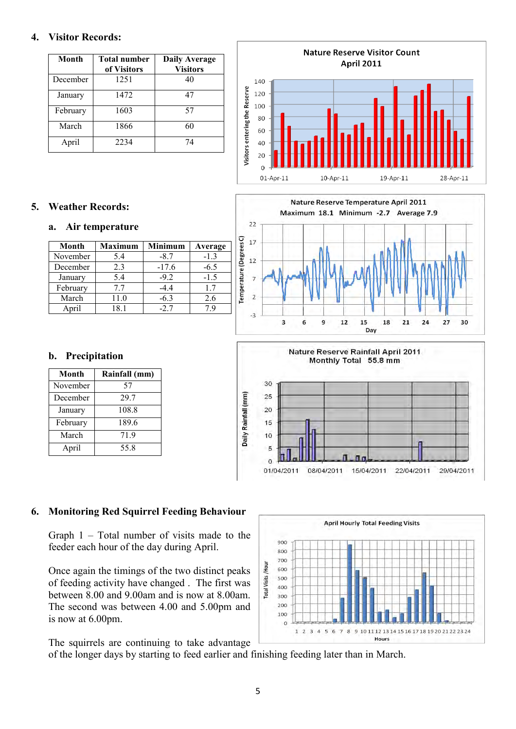#### **4. Visitor Records:**

| Month    | <b>Total number</b><br>of Visitors | <b>Daily Average</b><br><b>Visitors</b> |
|----------|------------------------------------|-----------------------------------------|
| December | 1251                               | 40                                      |
| January  | 1472                               | 47                                      |
| February | 1603                               | 57                                      |
| March    | 1866                               | 60                                      |
| April    | 2234                               | 74                                      |

# **5. Weather Records:**

#### **a. Air temperature**

| Month    | <b>Maximum</b> | <b>Minimum</b> | Average |
|----------|----------------|----------------|---------|
| November | 5.4            | $-8.7$         | $-13$   |
| December | 23             | $-17.6$        | $-6.5$  |
| January  | 5.4            | $-9.2$         | $-1.5$  |
| February | 77             | -44            | 17      |
| March    | 11.0           | $-6.3$         | 26      |
| \nril    | 181            | $-2.7$         | 7 G     |

#### **b. Precipitation**

| Month    | Rainfall (mm) |  |  |
|----------|---------------|--|--|
| November | 57            |  |  |
| December | 29.7          |  |  |
| January  | 108.8         |  |  |
| February | 189.6         |  |  |
| March    | 71.9          |  |  |
| April    | 55.8          |  |  |





# $10$ 5

08/04/2011

 $\circ$ 01/04/2011

**6. Monitoring Red Squirrel Feeding Behaviour** 

Graph 1 – Total number of visits made to the feeder each hour of the day during April.

Once again the timings of the two distinct peaks of feeding activity have changed . The first was between 8.00 and 9.00am and is now at 8.00am. The second was between 4.00 and 5.00pm and is now at 6.00pm.

The squirrels are continuing to take advantage

of the longer days by starting to feed earlier and finishing feeding later than in March.



15/04/2011

22/04/2011

29/04/2011